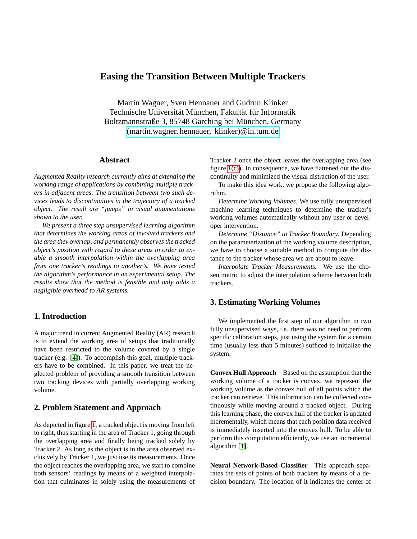# **Easing the Transition Between Multiple Trackers**

Martin Wagner, Sven Hennauer and Gudrun Klinker Technische Universität München, Fakultät für Informatik Boltzmannstraße 3, 85748 Garching bei München, Germany [\(martin.wagner, hennauer, klinker\)@in.tum.de](mailto:martin.wagner@in.tum.de)

#### **Abstract**

*Augmented Reality research currently aims at extending the working range of applications by combining multiple trackers in adjacent areas. The transition between two such devices leads to discontinuities in the trajectory of a tracked object. The result are "jumps" in visual augmentations shown to the user.*

*We present a three step unsupervised learning algorithm that determines the working areas of involved trackers and the area they overlap, and permanently observes the tracked object's position with regard to these areas in order to enable a smooth interpolation within the overlapping area from one tracker's readings to another's. We have tested the algorithm's performance in an experimental setup. The results show that the method is feasible and only adds a negligible overhead to AR systems.*

## **1. Introduction**

A major trend in current Augmented Reality (AR) research is to extend the working area of setups that traditionally have been restricted to the volume covered by a single tracker (e.g. [\[4\]](#page-1-0)). To accomplish this goal, multiple trackers have to be combined. In this paper, we treat the neglected problem of providing a smooth transition between two tracking devices with partially overlapping working volume.

## **2. Problem Statement and Approach**

As depicted in figure [1,](#page-1-1) a tracked object is moving from left to right, thus starting in the area of Tracker 1, going through the overlapping area and finally being tracked solely by Tracker 2. As long as the object is in the area observed exclusively by Tracker 1, we just use its measurements. Once the object reaches the overlapping area, we start to combine both sensors' readings by means of a weighted interpolation that culminates in solely using the measurements of Tracker 2 once the object leaves the overlapping area (see figure [1\(c\)\)](#page-1-2). In consequence, we have flattened out the discontinuity and minimized the visual distraction of the user.

To make this idea work, we propose the following algorithm.

*Determine Working Volumes.* We use fully unsupervised machine learning techniques to determine the tracker's working volumes automatically without any user or developer intervention.

*Determine "Distance" to Tracker Boundary.* Depending on the parameterization of the working volume description, we have to choose a suitable method to compute the distance to the tracker whose area we are about to leave.

*Interpolate Tracker Measurements.* We use the chosen metric to adjust the interpolation scheme between both trackers.

## **3. Estimating Working Volumes**

We implemented the first step of our algorithm in two fully unsupervised ways, i.e. there was no need to perform specific calibration steps, just using the system for a certain time (usually less than 5 minutes) sufficed to initialize the system.

**Convex Hull Approach** Based on the assumption that the working volume of a tracker is convex, we represent the working volume as the convex hull of all points which the tracker can retrieve. This information can be collected continuously while moving around a tracked object. During this learning phase, the convex hull of the tracker is updated incrementally, which means that each position data received is immediately inserted into the convex hull. To be able to perform this computation efficiently, we use an incremental algorithm [\[1\]](#page-1-3).

**Neural Network-Based Classifier** This approach separates the sets of points of both trackers by means of a decision boundary. The location of it indicates the center of